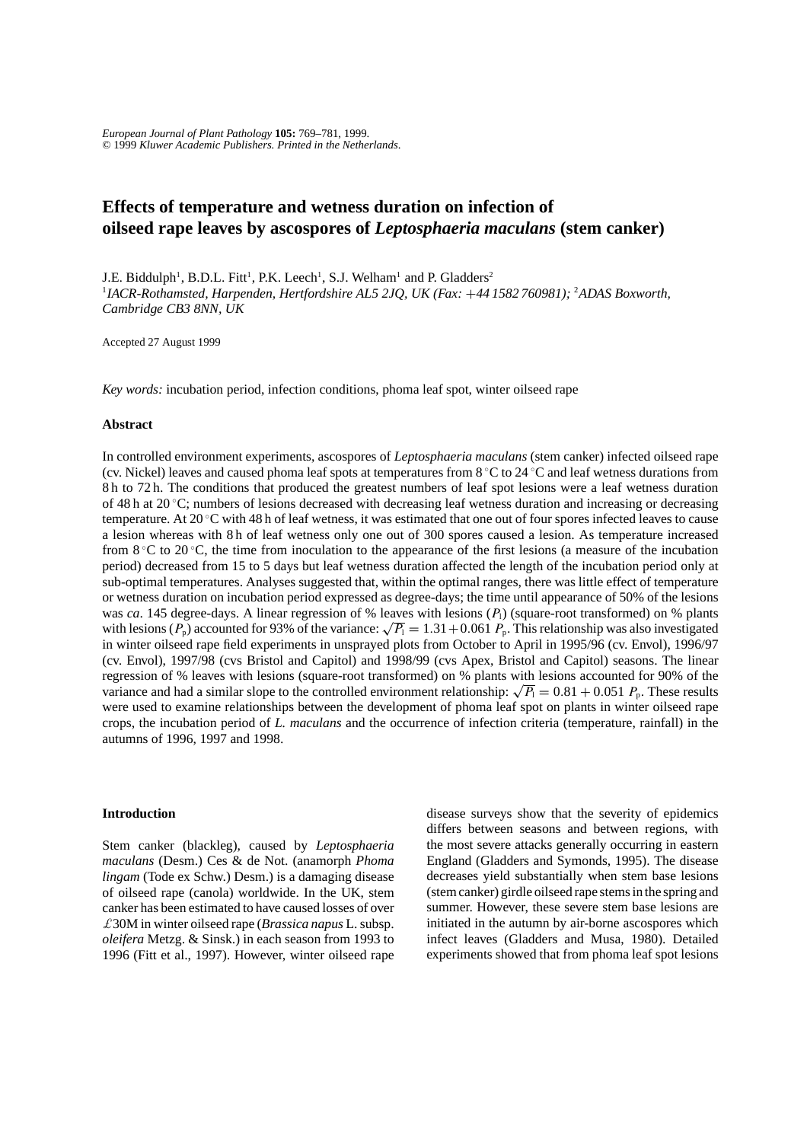*European Journal of Plant Pathology* **105:** 769–781, 1999. © 1999 *Kluwer Academic Publishers. Printed in the Netherlands*.

# **Effects of temperature and wetness duration on infection of oilseed rape leaves by ascospores of** *Leptosphaeria maculans* **(stem canker)**

J.E. Biddulph<sup>1</sup>, B.D.L. Fitt<sup>1</sup>, P.K. Leech<sup>1</sup>, S.J. Welham<sup>1</sup> and P. Gladders<sup>2</sup> 1 *IACR-Rothamsted, Harpenden, Hertfordshire AL5 2JQ, UK (Fax:* +*44 1582 760981);* <sup>2</sup> *ADAS Boxworth, Cambridge CB3 8NN, UK*

Accepted 27 August 1999

*Key words:* incubation period, infection conditions, phoma leaf spot, winter oilseed rape

#### **Abstract**

In controlled environment experiments, ascospores of *Leptosphaeria maculans* (stem canker) infected oilseed rape (cv. Nickel) leaves and caused phoma leaf spots at temperatures from  $8\degree C$  to  $24\degree C$  and leaf wetness durations from 8 h to 72 h. The conditions that produced the greatest numbers of leaf spot lesions were a leaf wetness duration of 48 h at 20 ℃; numbers of lesions decreased with decreasing leaf wetness duration and increasing or decreasing temperature. At 20  $\rm{^{\circ}C}$  with 48 h of leaf wetness, it was estimated that one out of four spores infected leaves to cause a lesion whereas with 8 h of leaf wetness only one out of 300 spores caused a lesion. As temperature increased from  $8^{\circ}$ C to 20  $^{\circ}$ C, the time from inoculation to the appearance of the first lesions (a measure of the incubation period) decreased from 15 to 5 days but leaf wetness duration affected the length of the incubation period only at sub-optimal temperatures. Analyses suggested that, within the optimal ranges, there was little effect of temperature or wetness duration on incubation period expressed as degree-days; the time until appearance of 50% of the lesions was *ca*. 145 degree-days. A linear regression of % leaves with lesions  $(P_1)$  (square-root transformed) on % plants with lesions ( $P_p$ ) accounted for 93% of the variance:  $\sqrt{P_1} = 1.31 + 0.061 P_p$ . This relationship was also investigated in winter oilseed rape field experiments in unsprayed plots from October to April in 1995/96 (cv. Envol), 1996/97 (cv. Envol), 1997/98 (cvs Bristol and Capitol) and 1998/99 (cvs Apex, Bristol and Capitol) seasons. The linear regression of % leaves with lesions (square-root transformed) on % plants with lesions accounted for 90% of the variance and had a similar slope to the controlled environment relationship:  $\sqrt{P_1} = 0.81 + 0.051 P_p$ . These results were used to examine relationships between the development of phoma leaf spot on plants in winter oilseed rape crops, the incubation period of *L. maculans* and the occurrence of infection criteria (temperature, rainfall) in the autumns of 1996, 1997 and 1998.

### **Introduction**

Stem canker (blackleg), caused by *Leptosphaeria maculans* (Desm.) Ces & de Not. (anamorph *Phoma lingam* (Tode ex Schw.) Desm.) is a damaging disease of oilseed rape (canola) worldwide. In the UK, stem canker has been estimated to have caused losses of over £30M in winter oilseed rape (*Brassica napus* L. subsp. *oleifera* Metzg. & Sinsk.) in each season from 1993 to 1996 (Fitt et al., 1997). However, winter oilseed rape disease surveys show that the severity of epidemics differs between seasons and between regions, with the most severe attacks generally occurring in eastern England (Gladders and Symonds, 1995). The disease decreases yield substantially when stem base lesions (stem canker) girdle oilseed rape stems in the spring and summer. However, these severe stem base lesions are initiated in the autumn by air-borne ascospores which infect leaves (Gladders and Musa, 1980). Detailed experiments showed that from phoma leaf spot lesions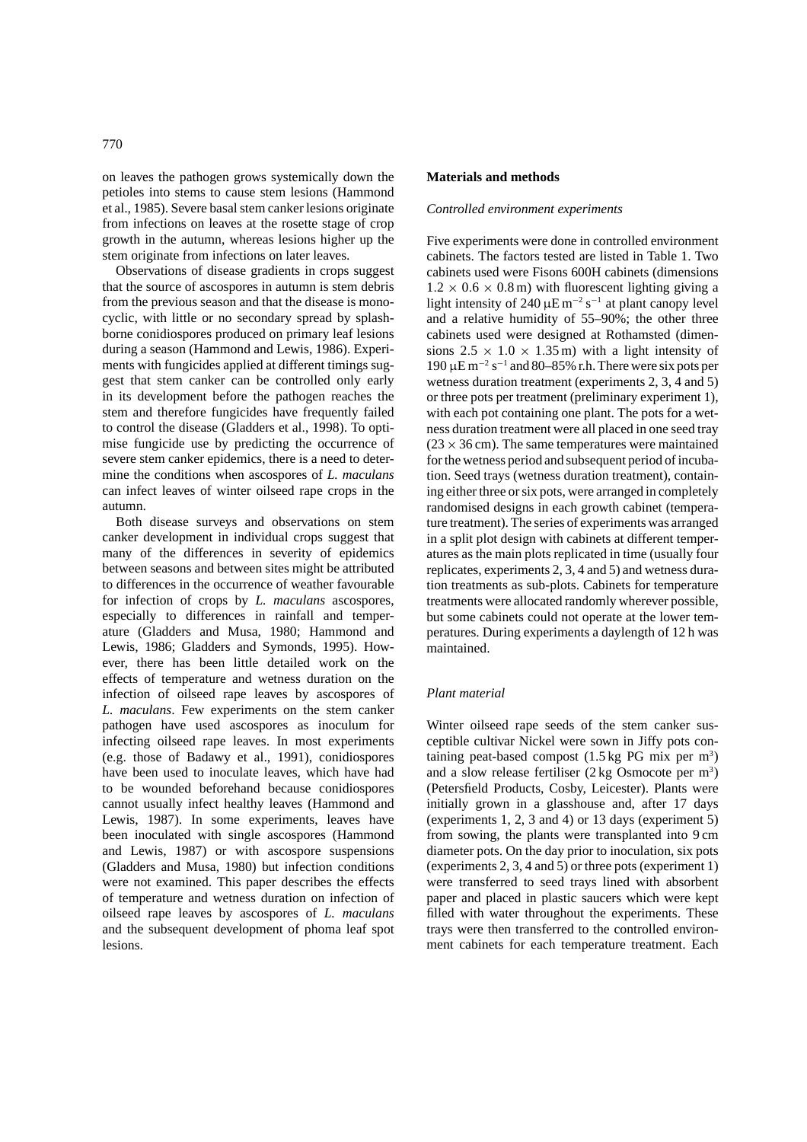on leaves the pathogen grows systemically down the petioles into stems to cause stem lesions (Hammond et al., 1985). Severe basal stem canker lesions originate from infections on leaves at the rosette stage of crop growth in the autumn, whereas lesions higher up the

stem originate from infections on later leaves. Observations of disease gradients in crops suggest that the source of ascospores in autumn is stem debris from the previous season and that the disease is monocyclic, with little or no secondary spread by splashborne conidiospores produced on primary leaf lesions during a season (Hammond and Lewis, 1986). Experiments with fungicides applied at different timings suggest that stem canker can be controlled only early in its development before the pathogen reaches the stem and therefore fungicides have frequently failed to control the disease (Gladders et al., 1998). To optimise fungicide use by predicting the occurrence of severe stem canker epidemics, there is a need to determine the conditions when ascospores of *L. maculans* can infect leaves of winter oilseed rape crops in the autumn.

Both disease surveys and observations on stem canker development in individual crops suggest that many of the differences in severity of epidemics between seasons and between sites might be attributed to differences in the occurrence of weather favourable for infection of crops by *L. maculans* ascospores, especially to differences in rainfall and temperature (Gladders and Musa, 1980; Hammond and Lewis, 1986; Gladders and Symonds, 1995). However, there has been little detailed work on the effects of temperature and wetness duration on the infection of oilseed rape leaves by ascospores of *L. maculans*. Few experiments on the stem canker pathogen have used ascospores as inoculum for infecting oilseed rape leaves. In most experiments (e.g. those of Badawy et al., 1991), conidiospores have been used to inoculate leaves, which have had to be wounded beforehand because conidiospores cannot usually infect healthy leaves (Hammond and Lewis, 1987). In some experiments, leaves have been inoculated with single ascospores (Hammond and Lewis, 1987) or with ascospore suspensions (Gladders and Musa, 1980) but infection conditions were not examined. This paper describes the effects of temperature and wetness duration on infection of oilseed rape leaves by ascospores of *L. maculans* and the subsequent development of phoma leaf spot lesions.

### **Materials and methods**

#### *Controlled environment experiments*

Five experiments were done in controlled environment cabinets. The factors tested are listed in Table 1. Two cabinets used were Fisons 600H cabinets (dimensions  $1.2 \times 0.6 \times 0.8$  m) with fluorescent lighting giving a light intensity of 240  $\mu$ E m<sup>-2</sup> s<sup>-1</sup> at plant canopy level and a relative humidity of 55–90%; the other three cabinets used were designed at Rothamsted (dimensions  $2.5 \times 1.0 \times 1.35$  m) with a light intensity of  $190 \mu E \, \text{m}^{-2} \, \text{s}^{-1}$  and 80–85% r.h. There were six pots per wetness duration treatment (experiments 2, 3, 4 and 5) or three pots per treatment (preliminary experiment 1), with each pot containing one plant. The pots for a wetness duration treatment were all placed in one seed tray  $(23 \times 36 \text{ cm})$ . The same temperatures were maintained for the wetness period and subsequent period of incubation. Seed trays (wetness duration treatment), containing either three or six pots, were arranged in completely randomised designs in each growth cabinet (temperature treatment). The series of experiments was arranged in a split plot design with cabinets at different temperatures as the main plots replicated in time (usually four replicates, experiments 2, 3, 4 and 5) and wetness duration treatments as sub-plots. Cabinets for temperature treatments were allocated randomly wherever possible, but some cabinets could not operate at the lower temperatures. During experiments a daylength of 12 h was maintained.

# *Plant material*

Winter oilseed rape seeds of the stem canker susceptible cultivar Nickel were sown in Jiffy pots containing peat-based compost  $(1.5 \text{ kg PG mix per m}^3)$ and a slow release fertiliser  $(2 \text{ kg } O \text{smocote per } m^3)$ (Petersfield Products, Cosby, Leicester). Plants were initially grown in a glasshouse and, after 17 days (experiments 1, 2, 3 and 4) or 13 days (experiment 5) from sowing, the plants were transplanted into 9 cm diameter pots. On the day prior to inoculation, six pots (experiments 2, 3, 4 and 5) or three pots (experiment 1) were transferred to seed trays lined with absorbent paper and placed in plastic saucers which were kept filled with water throughout the experiments. These trays were then transferred to the controlled environment cabinets for each temperature treatment. Each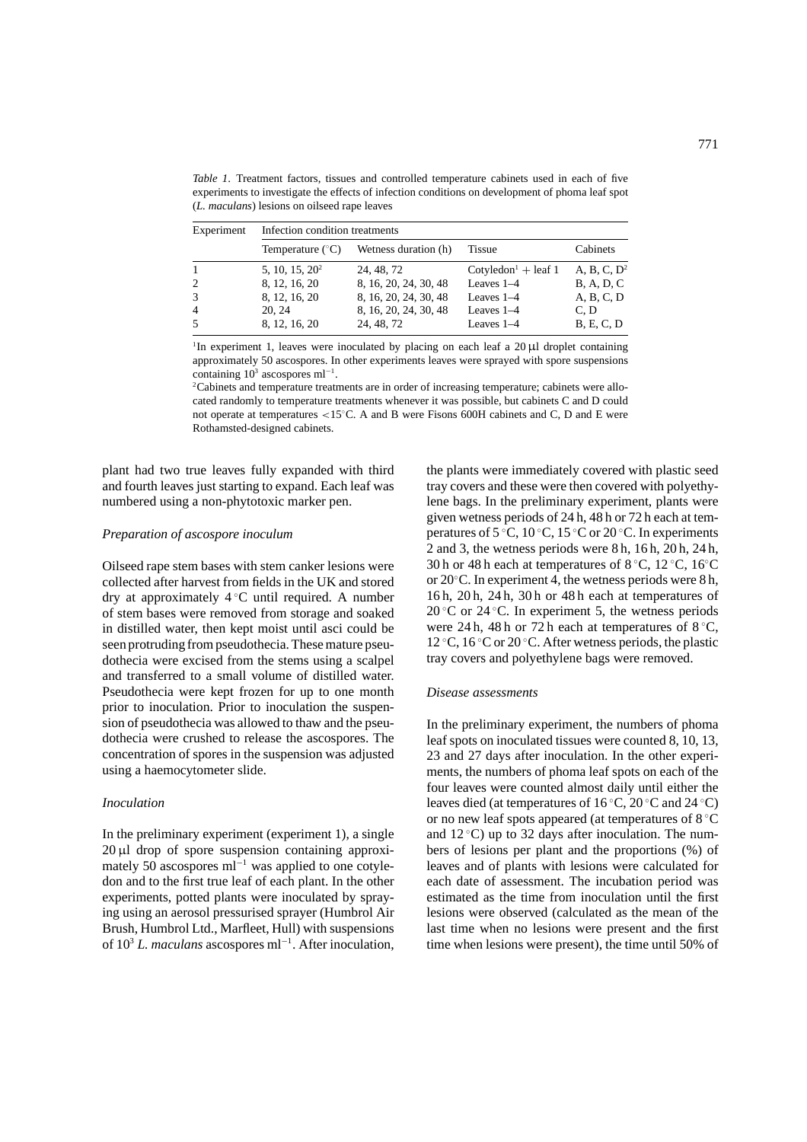*Table 1*. Treatment factors, tissues and controlled temperature cabinets used in each of five experiments to investigate the effects of infection conditions on development of phoma leaf spot (*L. maculans*) lesions on oilseed rape leaves

| Experiment     | Infection condition treatments |                       |                                 |                    |  |  |
|----------------|--------------------------------|-----------------------|---------------------------------|--------------------|--|--|
|                | Temperature $(^{\circ}C)$      | Wetness duration (h)  | <b>Tissue</b>                   | Cabinets           |  |  |
| $\mathbf{1}$   | 5, 10, 15, $20^2$              | 24, 48, 72            | Cotyledon <sup>1</sup> + leaf 1 | A, B, C, $D^2$     |  |  |
| 2              | 8, 12, 16, 20                  | 8, 16, 20, 24, 30, 48 | Leaves 1-4                      | <b>B</b> , A, D, C |  |  |
| 3              | 8, 12, 16, 20                  | 8, 16, 20, 24, 30, 48 | Leaves $1-4$                    | A, B, C, D         |  |  |
| $\overline{4}$ | 20, 24                         | 8, 16, 20, 24, 30, 48 | Leaves $1-4$                    | C.D                |  |  |
| .5             | 8, 12, 16, 20                  | 24, 48, 72            | Leaves $1-4$                    | B, E, C, D         |  |  |

<sup>1</sup>In experiment 1, leaves were inoculated by placing on each leaf a 20  $\mu$ l droplet containing approximately 50 ascospores. In other experiments leaves were sprayed with spore suspensions containing  $10^3$  ascospores ml<sup>-1</sup>.

<sup>2</sup>Cabinets and temperature treatments are in order of increasing temperature; cabinets were allocated randomly to temperature treatments whenever it was possible, but cabinets C and D could not operate at temperatures <15℃. A and B were Fisons 600H cabinets and C, D and E were Rothamsted-designed cabinets.

plant had two true leaves fully expanded with third and fourth leaves just starting to expand. Each leaf was numbered using a non-phytotoxic marker pen.

### *Preparation of ascospore inoculum*

Oilseed rape stem bases with stem canker lesions were collected after harvest from fields in the UK and stored dry at approximately 4 ◦ C until required. A number of stem bases were removed from storage and soaked in distilled water, then kept moist until asci could be seen protruding from pseudothecia. These mature pseudothecia were excised from the stems using a scalpel and transferred to a small volume of distilled water. Pseudothecia were kept frozen for up to one month prior to inoculation. Prior to inoculation the suspension of pseudothecia was allowed to thaw and the pseudothecia were crushed to release the ascospores. The concentration of spores in the suspension was adjusted using a haemocytometer slide.

#### *Inoculation*

In the preliminary experiment (experiment 1), a single 20 µl drop of spore suspension containing approximately 50 ascospores ml<sup>-1</sup> was applied to one cotyledon and to the first true leaf of each plant. In the other experiments, potted plants were inoculated by spraying using an aerosol pressurised sprayer (Humbrol Air Brush, Humbrol Ltd., Marfleet, Hull) with suspensions of 103 *L. maculans* ascospores ml−<sup>1</sup> . After inoculation,

the plants were immediately covered with plastic seed tray covers and these were then covered with polyethylene bags. In the preliminary experiment, plants were given wetness periods of 24 h, 48 h or 72 h each at temperatures of 5 °C, 10 °C, 15 °C or 20 °C. In experiments 2 and 3, the wetness periods were 8 h, 16 h, 20 h, 24 h, 30 h or 48 h each at temperatures of  $8 °C$ ,  $12 °C$ ,  $16 °C$ or 20◦ C. In experiment 4, the wetness periods were 8 h, 16 h, 20 h, 24 h, 30 h or 48 h each at temperatures of 20 °C or 24 °C. In experiment 5, the wetness periods were 24 h, 48 h or 72 h each at temperatures of  $8^{\circ}$ C, 12 °C, 16 °C or 20 °C. After wetness periods, the plastic tray covers and polyethylene bags were removed.

#### *Disease assessments*

In the preliminary experiment, the numbers of phoma leaf spots on inoculated tissues were counted 8, 10, 13, 23 and 27 days after inoculation. In the other experiments, the numbers of phoma leaf spots on each of the four leaves were counted almost daily until either the leaves died (at temperatures of  $16\,^{\circ}\text{C}$ ,  $20\,^{\circ}\text{C}$  and  $24\,^{\circ}\text{C}$ ) or no new leaf spots appeared (at temperatures of 8 ◦ C and  $12^{\circ}$ C) up to 32 days after inoculation. The numbers of lesions per plant and the proportions (%) of leaves and of plants with lesions were calculated for each date of assessment. The incubation period was estimated as the time from inoculation until the first lesions were observed (calculated as the mean of the last time when no lesions were present and the first time when lesions were present), the time until 50% of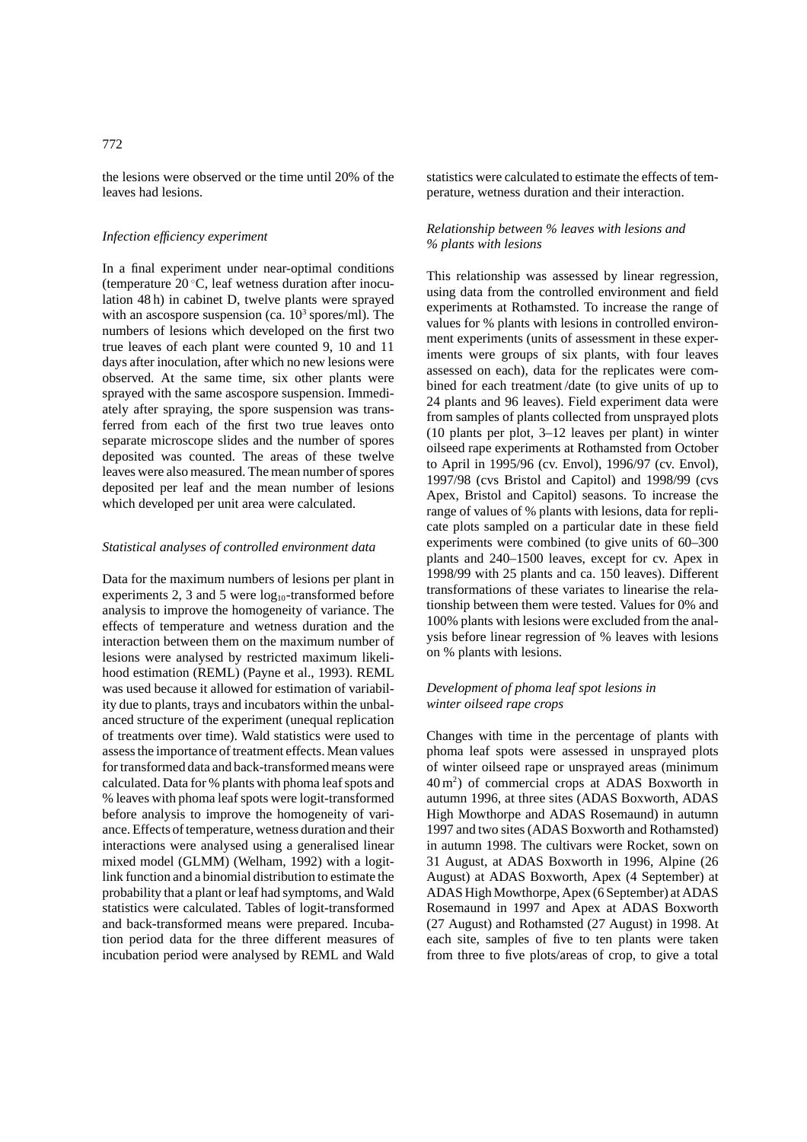the lesions were observed or the time until 20% of the leaves had lesions.

# *Infection efficiency experiment*

In a final experiment under near-optimal conditions (temperature 20 ◦ C, leaf wetness duration after inoculation 48 h) in cabinet D, twelve plants were sprayed with an ascospore suspension (ca.  $10<sup>3</sup>$  spores/ml). The numbers of lesions which developed on the first two true leaves of each plant were counted 9, 10 and 11 days after inoculation, after which no new lesions were observed. At the same time, six other plants were sprayed with the same ascospore suspension. Immediately after spraying, the spore suspension was transferred from each of the first two true leaves onto separate microscope slides and the number of spores deposited was counted. The areas of these twelve leaves were also measured. The mean number of spores deposited per leaf and the mean number of lesions which developed per unit area were calculated.

#### *Statistical analyses of controlled environment data*

Data for the maximum numbers of lesions per plant in experiments 2, 3 and 5 were  $log_{10}$ -transformed before analysis to improve the homogeneity of variance. The effects of temperature and wetness duration and the interaction between them on the maximum number of lesions were analysed by restricted maximum likelihood estimation (REML) (Payne et al., 1993). REML was used because it allowed for estimation of variability due to plants, trays and incubators within the unbalanced structure of the experiment (unequal replication of treatments over time). Wald statistics were used to assess the importance of treatment effects. Mean values for transformed data and back-transformed means were calculated. Data for % plants with phoma leaf spots and % leaves with phoma leaf spots were logit-transformed before analysis to improve the homogeneity of variance. Effects of temperature, wetness duration and their interactions were analysed using a generalised linear mixed model (GLMM) (Welham, 1992) with a logitlink function and a binomial distribution to estimate the probability that a plant or leaf had symptoms, and Wald statistics were calculated. Tables of logit-transformed and back-transformed means were prepared. Incubation period data for the three different measures of incubation period were analysed by REML and Wald statistics were calculated to estimate the effects of temperature, wetness duration and their interaction.

# *Relationship between % leaves with lesions and % plants with lesions*

This relationship was assessed by linear regression, using data from the controlled environment and field experiments at Rothamsted. To increase the range of values for % plants with lesions in controlled environment experiments (units of assessment in these experiments were groups of six plants, with four leaves assessed on each), data for the replicates were combined for each treatment /date (to give units of up to 24 plants and 96 leaves). Field experiment data were from samples of plants collected from unsprayed plots (10 plants per plot, 3–12 leaves per plant) in winter oilseed rape experiments at Rothamsted from October to April in 1995/96 (cv. Envol), 1996/97 (cv. Envol), 1997/98 (cvs Bristol and Capitol) and 1998/99 (cvs Apex, Bristol and Capitol) seasons. To increase the range of values of % plants with lesions, data for replicate plots sampled on a particular date in these field experiments were combined (to give units of 60–300 plants and 240–1500 leaves, except for cv. Apex in 1998/99 with 25 plants and ca. 150 leaves). Different transformations of these variates to linearise the relationship between them were tested. Values for 0% and 100% plants with lesions were excluded from the analysis before linear regression of % leaves with lesions on % plants with lesions.

### *Development of phoma leaf spot lesions in winter oilseed rape crops*

Changes with time in the percentage of plants with phoma leaf spots were assessed in unsprayed plots of winter oilseed rape or unsprayed areas (minimum 40 m2 ) of commercial crops at ADAS Boxworth in autumn 1996, at three sites (ADAS Boxworth, ADAS High Mowthorpe and ADAS Rosemaund) in autumn 1997 and two sites (ADAS Boxworth and Rothamsted) in autumn 1998. The cultivars were Rocket, sown on 31 August, at ADAS Boxworth in 1996, Alpine (26 August) at ADAS Boxworth, Apex (4 September) at ADAS High Mowthorpe, Apex (6 September) at ADAS Rosemaund in 1997 and Apex at ADAS Boxworth (27 August) and Rothamsted (27 August) in 1998. At each site, samples of five to ten plants were taken from three to five plots/areas of crop, to give a total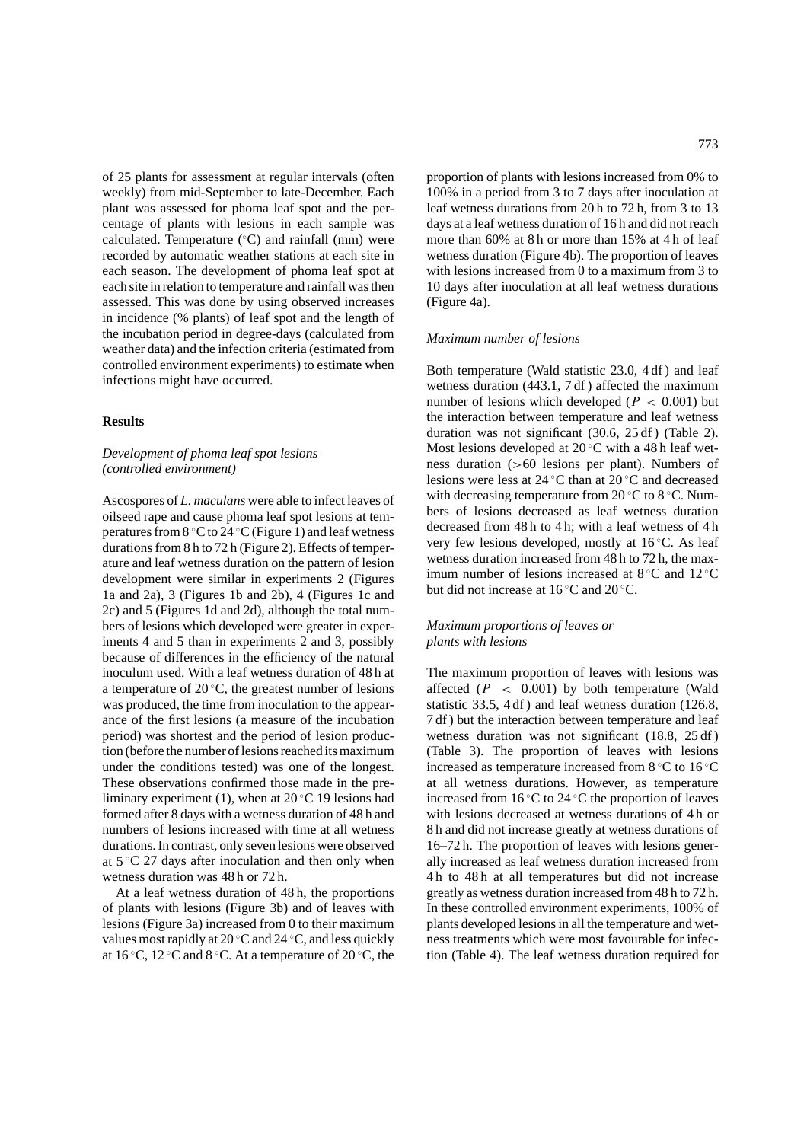of 25 plants for assessment at regular intervals (often weekly) from mid-September to late-December. Each plant was assessed for phoma leaf spot and the percentage of plants with lesions in each sample was calculated. Temperature (◦ C) and rainfall (mm) were recorded by automatic weather stations at each site in each season. The development of phoma leaf spot at each site in relation to temperature and rainfall was then assessed. This was done by using observed increases in incidence (% plants) of leaf spot and the length of the incubation period in degree-days (calculated from weather data) and the infection criteria (estimated from controlled environment experiments) to estimate when infections might have occurred.

# **Results**

# *Development of phoma leaf spot lesions (controlled environment)*

Ascospores of *L. maculans* were able to infect leaves of oilseed rape and cause phoma leaf spot lesions at temperatures from 8 °C to 24 °C (Figure 1) and leaf wetness durations from 8 h to 72 h (Figure 2). Effects of temperature and leaf wetness duration on the pattern of lesion development were similar in experiments 2 (Figures 1a and 2a), 3 (Figures 1b and 2b), 4 (Figures 1c and 2c) and 5 (Figures 1d and 2d), although the total numbers of lesions which developed were greater in experiments 4 and 5 than in experiments 2 and 3, possibly because of differences in the efficiency of the natural inoculum used. With a leaf wetness duration of 48 h at a temperature of  $20^{\circ}$ C, the greatest number of lesions was produced, the time from inoculation to the appearance of the first lesions (a measure of the incubation period) was shortest and the period of lesion production (before the number of lesions reached its maximum under the conditions tested) was one of the longest. These observations confirmed those made in the preliminary experiment (1), when at 20 ◦ C 19 lesions had formed after 8 days with a wetness duration of 48 h and numbers of lesions increased with time at all wetness durations. In contrast, only seven lesions were observed at  $5^{\circ}$ C 27 days after inoculation and then only when wetness duration was 48 h or 72 h.

At a leaf wetness duration of 48 h, the proportions of plants with lesions (Figure 3b) and of leaves with lesions (Figure 3a) increased from 0 to their maximum values most rapidly at 20  $\mathrm{^{\circ}C}$  and 24  $\mathrm{^{\circ}C}$ , and less quickly at 16 °C, 12 °C and 8 °C. At a temperature of 20 °C, the

proportion of plants with lesions increased from 0% to 100% in a period from 3 to 7 days after inoculation at leaf wetness durations from 20 h to 72 h, from 3 to 13 days at a leaf wetness duration of 16 h and did not reach more than 60% at 8 h or more than 15% at 4 h of leaf wetness duration (Figure 4b). The proportion of leaves with lesions increased from 0 to a maximum from 3 to 10 days after inoculation at all leaf wetness durations (Figure 4a).

#### *Maximum number of lesions*

Both temperature (Wald statistic 23.0, 4 df ) and leaf wetness duration (443.1, 7 df ) affected the maximum number of lesions which developed ( $P < 0.001$ ) but the interaction between temperature and leaf wetness duration was not significant (30.6, 25 df ) (Table 2). Most lesions developed at  $20^{\circ}$ C with a 48 h leaf wetness duration (>60 lesions per plant). Numbers of lesions were less at 24 ◦ C than at 20 ◦ C and decreased with decreasing temperature from  $20^{\circ}$ C to  $8^{\circ}$ C. Numbers of lesions decreased as leaf wetness duration decreased from 48 h to 4 h; with a leaf wetness of 4 h very few lesions developed, mostly at 16 ℃. As leaf wetness duration increased from 48 h to 72 h, the maximum number of lesions increased at  $8 °C$  and  $12 °C$ but did not increase at  $16^{\circ}$ C and  $20^{\circ}$ C.

# *Maximum proportions of leaves or plants with lesions*

The maximum proportion of leaves with lesions was affected  $(P < 0.001)$  by both temperature (Wald statistic 33.5, 4 df ) and leaf wetness duration (126.8, 7 df ) but the interaction between temperature and leaf wetness duration was not significant (18.8, 25 df ) (Table 3). The proportion of leaves with lesions increased as temperature increased from  $8 °C$  to  $16 °C$ at all wetness durations. However, as temperature increased from 16 ◦ C to 24 ◦ C the proportion of leaves with lesions decreased at wetness durations of 4 h or 8 h and did not increase greatly at wetness durations of 16–72 h. The proportion of leaves with lesions generally increased as leaf wetness duration increased from 4 h to 48 h at all temperatures but did not increase greatly as wetness duration increased from 48 h to 72 h. In these controlled environment experiments, 100% of plants developed lesions in all the temperature and wetness treatments which were most favourable for infection (Table 4). The leaf wetness duration required for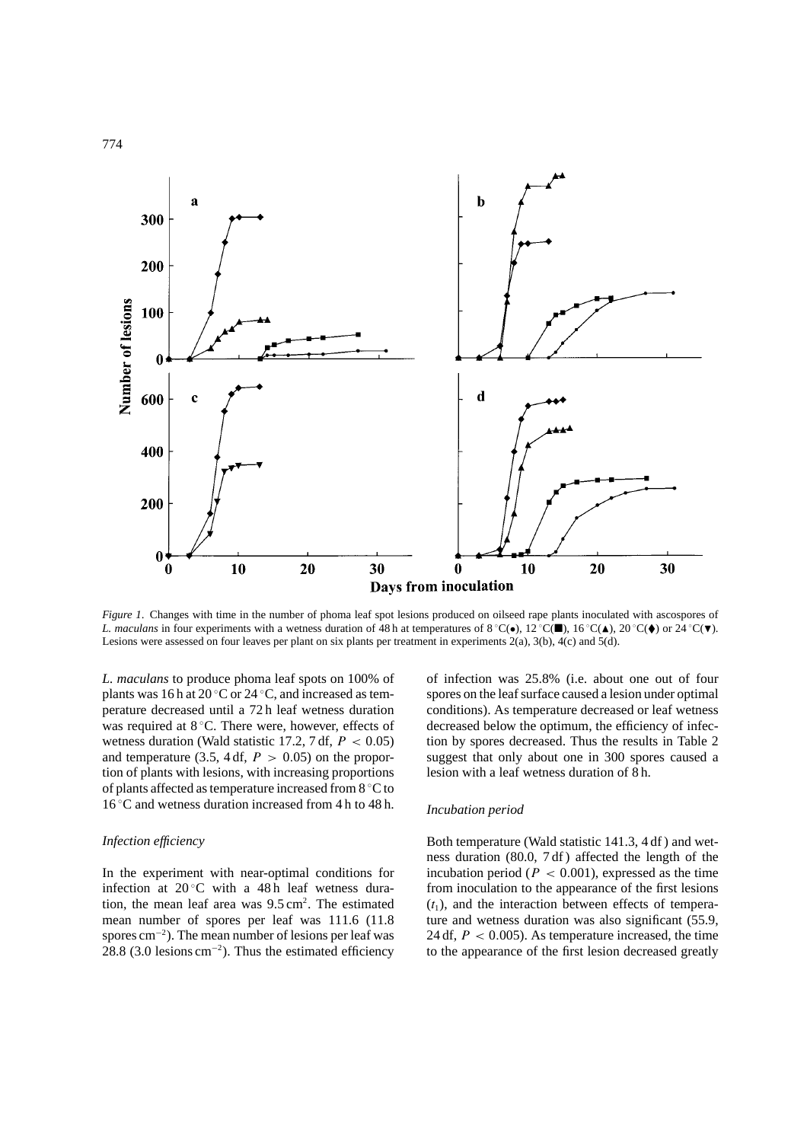

*Figure 1*. Changes with time in the number of phoma leaf spot lesions produced on oilseed rape plants inoculated with ascospores of *L. maculans* in four experiments with a wetness duration of 48 h at temperatures of 8 °C( $\bullet$ ), 12 °C( $\blacksquare$ ), 16 °C( $\blacktriangle$ ), 20 °C( $\blacklozenge$ ) or 24 °C( $\blacktriangledown$ ). Lesions were assessed on four leaves per plant on six plants per treatment in experiments 2(a), 3(b), 4(c) and 5(d).

*L. maculans* to produce phoma leaf spots on 100% of plants was 16 h at 20  $\mathrm{^{\circ}C}$  or 24  $\mathrm{^{\circ}C}$ , and increased as temperature decreased until a 72 h leaf wetness duration was required at 8 °C. There were, however, effects of wetness duration (Wald statistic 17.2, 7 df,  $P < 0.05$ ) and temperature (3.5, 4 df,  $P > 0.05$ ) on the proportion of plants with lesions, with increasing proportions of plants affected as temperature increased from 8 ◦ C to 16 ◦ C and wetness duration increased from 4 h to 48 h.

### *Infection efficiency*

In the experiment with near-optimal conditions for infection at  $20^{\circ}$ C with a 48 h leaf wetness duration, the mean leaf area was  $9.5 \text{ cm}^2$ . The estimated mean number of spores per leaf was 111.6 (11.8 spores cm<sup>-2</sup>). The mean number of lesions per leaf was 28.8 (3.0 lesions  $\text{cm}^{-2}$ ). Thus the estimated efficiency

of infection was 25.8% (i.e. about one out of four spores on the leaf surface caused a lesion under optimal conditions). As temperature decreased or leaf wetness decreased below the optimum, the efficiency of infection by spores decreased. Thus the results in Table 2 suggest that only about one in 300 spores caused a lesion with a leaf wetness duration of 8 h.

#### *Incubation period*

Both temperature (Wald statistic 141.3, 4 df ) and wetness duration (80.0, 7 df ) affected the length of the incubation period ( $P < 0.001$ ), expressed as the time from inoculation to the appearance of the first lesions  $(t_1)$ , and the interaction between effects of temperature and wetness duration was also significant (55.9, 24 df,  $P < 0.005$ ). As temperature increased, the time to the appearance of the first lesion decreased greatly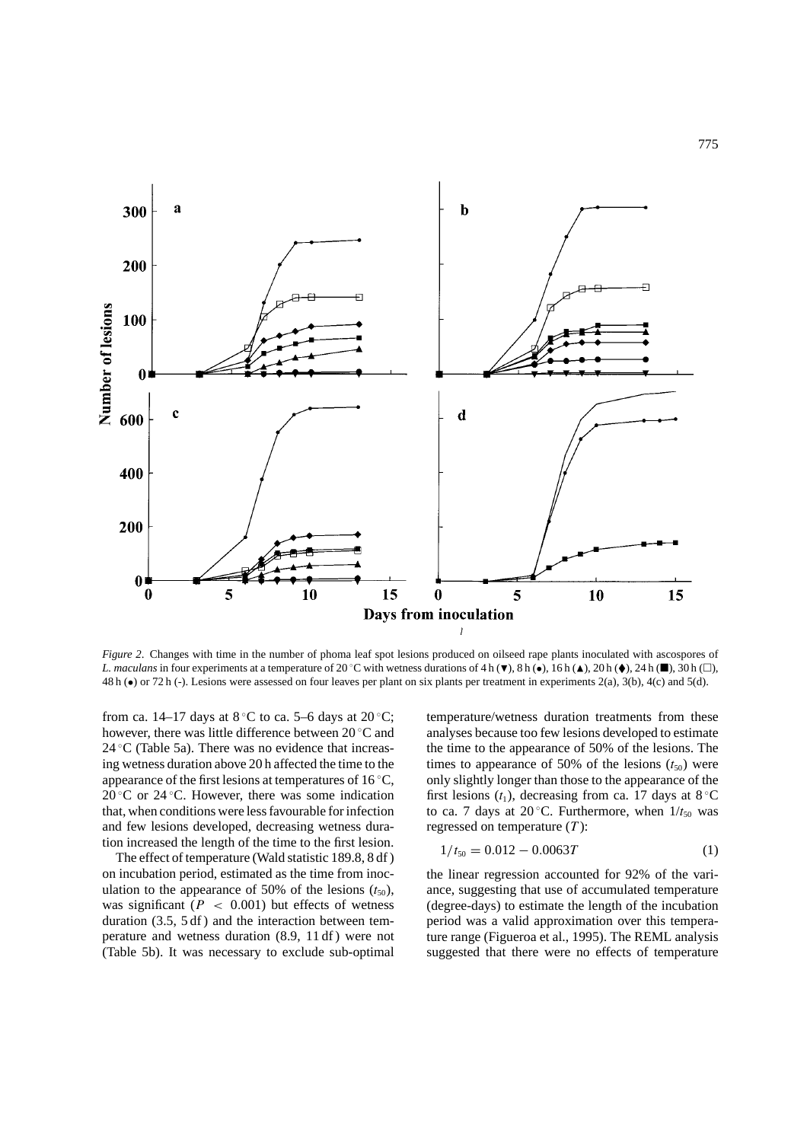

*Figure 2*. Changes with time in the number of phoma leaf spot lesions produced on oilseed rape plants inoculated with ascospores of *L. maculans* in four experiments at a temperature of 20 °C with wetness durations of 4 h ( $\blacktriangledown$ ), 8 h ( $\blacktriangledown$ ), 20 h ( $\blacktriangle$ ), 24 h ( $\blacksquare$ ), 30 h ( $\Box$ ), 48 h (•) or 72 h (-). Lesions were assessed on four leaves per plant on six plants per treatment in experiments 2(a), 3(b), 4(c) and 5(d).

from ca. 14–17 days at  $8^{\circ}$ C to ca. 5–6 days at 20 $^{\circ}$ C; however, there was little difference between 20 °C and  $24 \text{ }^{\circ}$ C (Table 5a). There was no evidence that increasing wetness duration above 20 h affected the time to the appearance of the first lesions at temperatures of 16  $°C$ ,  $20^{\circ}$ C or  $24^{\circ}$ C. However, there was some indication that, when conditions were less favourable for infection and few lesions developed, decreasing wetness duration increased the length of the time to the first lesion.

The effect of temperature (Wald statistic 189.8, 8 df ) on incubation period, estimated as the time from inoculation to the appearance of 50% of the lesions  $(t_{50})$ , was significant ( $P < 0.001$ ) but effects of wetness duration (3.5, 5 df ) and the interaction between temperature and wetness duration (8.9, 11 df ) were not (Table 5b). It was necessary to exclude sub-optimal temperature/wetness duration treatments from these analyses because too few lesions developed to estimate the time to the appearance of 50% of the lesions. The times to appearance of 50% of the lesions  $(t_{50})$  were only slightly longer than those to the appearance of the first lesions  $(t_1)$ , decreasing from ca. 17 days at 8 °C to ca. 7 days at 20 $\degree$ C. Furthermore, when  $1/t_{50}$  was regressed on temperature  $(T)$ :

$$
1/t_{50} = 0.012 - 0.0063T
$$
 (1)

the linear regression accounted for 92% of the variance, suggesting that use of accumulated temperature (degree-days) to estimate the length of the incubation period was a valid approximation over this temperature range (Figueroa et al., 1995). The REML analysis suggested that there were no effects of temperature

775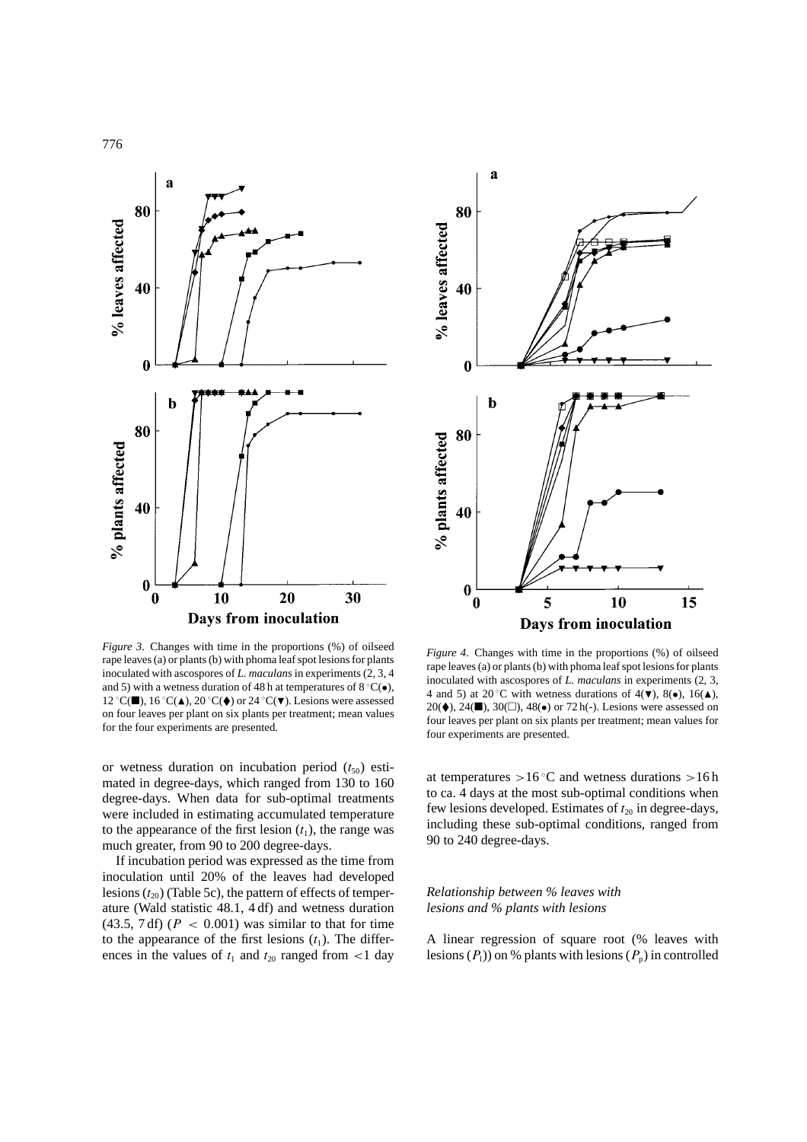

*Figure 3*. Changes with time in the proportions (%) of oilseed rape leaves (a) or plants (b) with phoma leaf spot lesions for plants inoculated with ascospores of *L. maculans* in experiments (2, 3, 4 and 5) with a wetness duration of 48 h at temperatures of 8  $°C(\bullet)$ , 12 °C(■), 16 °C(▲), 20 °C(◆) or 24 °C(▼). Lesions were assessed on four leaves per plant on six plants per treatment; mean values for the four experiments are presented.

or wetness duration on incubation period  $(t_{50})$  estimated in degree-days, which ranged from 130 to 160 degree-days. When data for sub-optimal treatments were included in estimating accumulated temperature to the appearance of the first lesion  $(t_1)$ , the range was much greater, from 90 to 200 degree-days.

If incubation period was expressed as the time from inoculation until 20% of the leaves had developed lesions  $(t_{20})$  (Table 5c), the pattern of effects of temperature (Wald statistic 48.1, 4 df) and wetness duration  $(43.5, 7 df)$   $(P < 0.001)$  was similar to that for time to the appearance of the first lesions  $(t_1)$ . The differences in the values of  $t_1$  and  $t_{20}$  ranged from <1 day



*Figure 4*. Changes with time in the proportions (%) of oilseed rape leaves (a) or plants (b) with phoma leaf spot lesions for plants inoculated with ascospores of *L. maculans* in experiments (2, 3, 4 and 5) at 20 °C with wetness durations of  $4(\mathbf{V})$ ,  $8(\bullet)$ ,  $16(\mathbf{A})$ , 20( $\blacklozenge$ ), 24( $\blacksquare$ ), 30( $\Box$ ), 48( $\blacklozenge$ ) or 72 h(-). Lesions were assessed on four leaves per plant on six plants per treatment; mean values for four experiments are presented.

at temperatures  $>16^{\circ}$ C and wetness durations  $>16$  h to ca. 4 days at the most sub-optimal conditions when few lesions developed. Estimates of  $t_{20}$  in degree-days, including these sub-optimal conditions, ranged from 90 to 240 degree-days.

# *Relationship between % leaves with lesions and % plants with lesions*

A linear regression of square root (% leaves with lesions  $(P_1)$  on % plants with lesions  $(P_p)$  in controlled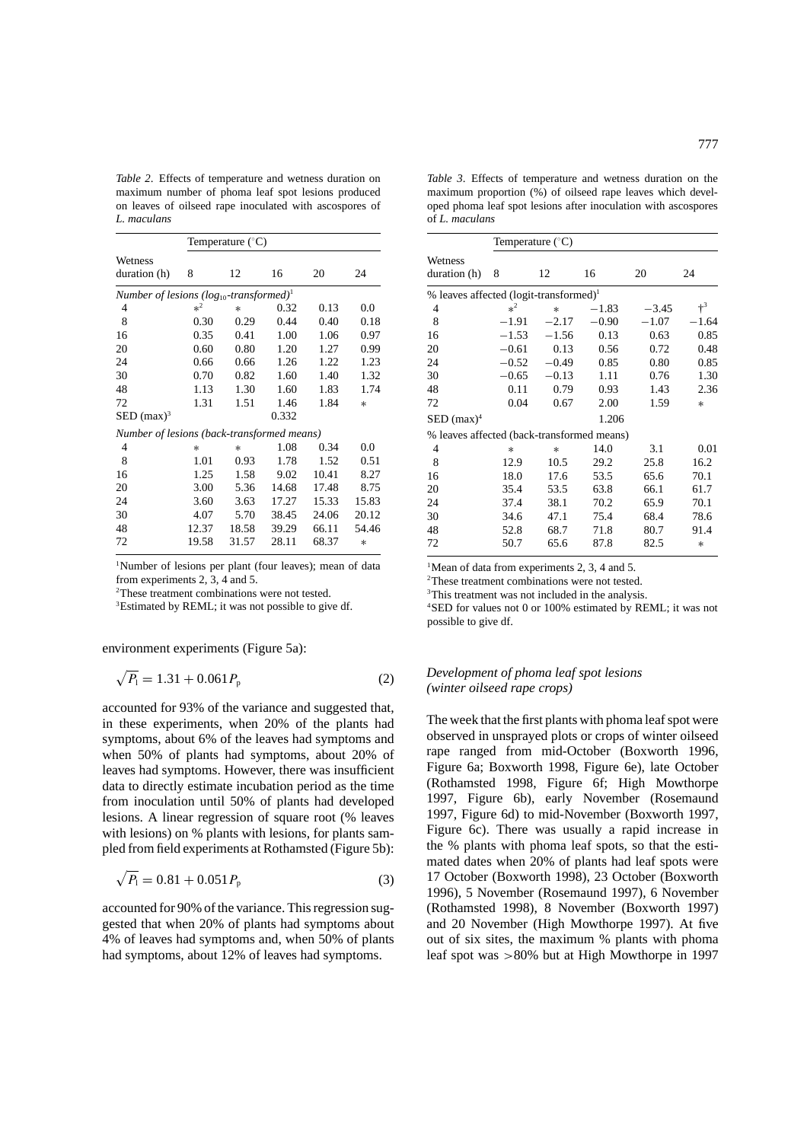*Table 2*. Effects of temperature and wetness duration on maximum number of phoma leaf spot lesions produced on leaves of oilseed rape inoculated with ascospores of *L. maculans*

|                                                          | Temperature $(^{\circ}C)$ |        |       |       |        |  |  |
|----------------------------------------------------------|---------------------------|--------|-------|-------|--------|--|--|
| Wetness                                                  |                           |        |       |       | 24     |  |  |
| duration (h)                                             | 8                         | 12     | 16    | 20    |        |  |  |
| Number of lesions $(log_{10}$ -transformed) <sup>1</sup> |                           |        |       |       |        |  |  |
| 4                                                        | $*^2$                     | $\ast$ | 0.32  | 0.13  | 0.0    |  |  |
| 8                                                        | 0.30                      | 0.29   | 0.44  | 0.40  | 0.18   |  |  |
| 16                                                       | 0.35                      | 0.41   | 1.00  | 1.06  | 0.97   |  |  |
| 20                                                       | 0.60                      | 0.80   | 1.20  | 1.27  | 0.99   |  |  |
| 24                                                       | 0.66                      | 0.66   | 1.26  | 1.22  | 1.23   |  |  |
| 30                                                       | 0.70                      | 0.82   | 1.60  | 1.40  | 1.32   |  |  |
| 48                                                       | 1.13                      | 1.30   | 1.60  | 1.83  | 1.74   |  |  |
| 72                                                       | 1.31                      | 1.51   | 1.46  | 1.84  | $\ast$ |  |  |
| $\text{SED}$ (max) <sup>3</sup>                          |                           |        | 0.332 |       |        |  |  |
| Number of lesions (back-transformed means)               |                           |        |       |       |        |  |  |
| 4                                                        | $\ast$                    | $\ast$ | 1.08  | 0.34  | 0.0    |  |  |
| 8                                                        | 1.01                      | 0.93   | 1.78  | 1.52  | 0.51   |  |  |
| 16                                                       | 1.25                      | 1.58   | 9.02  | 10.41 | 8.27   |  |  |
| 20                                                       | 3.00                      | 5.36   | 14.68 | 17.48 | 8.75   |  |  |
| 24                                                       | 3.60                      | 3.63   | 17.27 | 15.33 | 15.83  |  |  |
| 30                                                       | 4.07                      | 5.70   | 38.45 | 24.06 | 20.12  |  |  |
| 48                                                       | 12.37                     | 18.58  | 39.29 | 66.11 | 54.46  |  |  |
| 72                                                       | 19.58                     | 31.57  | 28.11 | 68.37 | $\ast$ |  |  |

<sup>1</sup>Number of lesions per plant (four leaves); mean of data from experiments 2, 3, 4 and 5.

2 These treatment combinations were not tested.

<sup>3</sup>Estimated by REML; it was not possible to give df.

environment experiments (Figure 5a):

$$
\sqrt{P_1} = 1.31 + 0.061 P_p \tag{2}
$$

accounted for 93% of the variance and suggested that, in these experiments, when 20% of the plants had symptoms, about 6% of the leaves had symptoms and when 50% of plants had symptoms, about 20% of leaves had symptoms. However, there was insufficient data to directly estimate incubation period as the time from inoculation until 50% of plants had developed lesions. A linear regression of square root (% leaves with lesions) on % plants with lesions, for plants sampled from field experiments at Rothamsted (Figure 5b):

$$
\sqrt{P_1} = 0.81 + 0.051 P_{\rm p} \tag{3}
$$

accounted for 90% of the variance. This regression suggested that when 20% of plants had symptoms about 4% of leaves had symptoms and, when 50% of plants had symptoms, about 12% of leaves had symptoms.

*Table 3*. Effects of temperature and wetness duration on the maximum proportion (%) of oilseed rape leaves which developed phoma leaf spot lesions after inoculation with ascospores of *L. maculans*

|                                                    | Temperature $(^{\circ}C)$ |         |         |         |         |  |
|----------------------------------------------------|---------------------------|---------|---------|---------|---------|--|
| Wetness<br>duration (h)                            | 8                         | 12      | 16      | 20      | 24      |  |
| % leaves affected (logit-transformed) <sup>1</sup> |                           |         |         |         |         |  |
| 4                                                  | $*^2$                     | $\ast$  | $-1.83$ | $-3.45$ | $+3$    |  |
| 8                                                  | $-1.91$                   | $-2.17$ | $-0.90$ | $-1.07$ | $-1.64$ |  |
| 16                                                 | $-1.53$                   | $-1.56$ | 0.13    | 0.63    | 0.85    |  |
| 20                                                 | $-0.61$                   | 0.13    | 0.56    | 0.72    | 0.48    |  |
| 24                                                 | $-0.52$                   | $-0.49$ | 0.85    | 0.80    | 0.85    |  |
| 30                                                 | $-0.65$                   | $-0.13$ | 1.11    | 0.76    | 1.30    |  |
| 48                                                 | 0.11                      | 0.79    | 0.93    | 1.43    | 2.36    |  |
| 72                                                 | 0.04                      | 0.67    | 2.00    | 1.59    | $\ast$  |  |
| $\text{SED}$ (max) <sup>4</sup>                    |                           |         | 1.206   |         |         |  |
| % leaves affected (back-transformed means)         |                           |         |         |         |         |  |
| 4                                                  | $\ast$                    | $\ast$  | 14.0    | 3.1     | 0.01    |  |
| 8                                                  | 12.9                      | 10.5    | 29.2    | 25.8    | 16.2    |  |
| 16                                                 | 18.0                      | 17.6    | 53.5    | 65.6    | 70.1    |  |
| 20                                                 | 35.4                      | 53.5    | 63.8    | 66.1    | 61.7    |  |
| 24                                                 | 37.4                      | 38.1    | 70.2    | 65.9    | 70.1    |  |
| 30                                                 | 34.6                      | 47.1    | 75.4    | 68.4    | 78.6    |  |
| 48                                                 | 52.8                      | 68.7    | 71.8    | 80.7    | 91.4    |  |
| 72                                                 | 50.7                      | 65.6    | 87.8    | 82.5    | $\ast$  |  |

<sup>1</sup>Mean of data from experiments 2, 3, 4 and 5.

2 These treatment combinations were not tested.

<sup>3</sup>This treatment was not included in the analysis.

4 SED for values not 0 or 100% estimated by REML; it was not possible to give df.

### *Development of phoma leaf spot lesions (winter oilseed rape crops)*

The week that the first plants with phoma leaf spot were observed in unsprayed plots or crops of winter oilseed rape ranged from mid-October (Boxworth 1996, Figure 6a; Boxworth 1998, Figure 6e), late October (Rothamsted 1998, Figure 6f; High Mowthorpe 1997, Figure 6b), early November (Rosemaund 1997, Figure 6d) to mid-November (Boxworth 1997, Figure 6c). There was usually a rapid increase in the % plants with phoma leaf spots, so that the estimated dates when 20% of plants had leaf spots were 17 October (Boxworth 1998), 23 October (Boxworth 1996), 5 November (Rosemaund 1997), 6 November (Rothamsted 1998), 8 November (Boxworth 1997) and 20 November (High Mowthorpe 1997). At five out of six sites, the maximum % plants with phoma leaf spot was >80% but at High Mowthorpe in 1997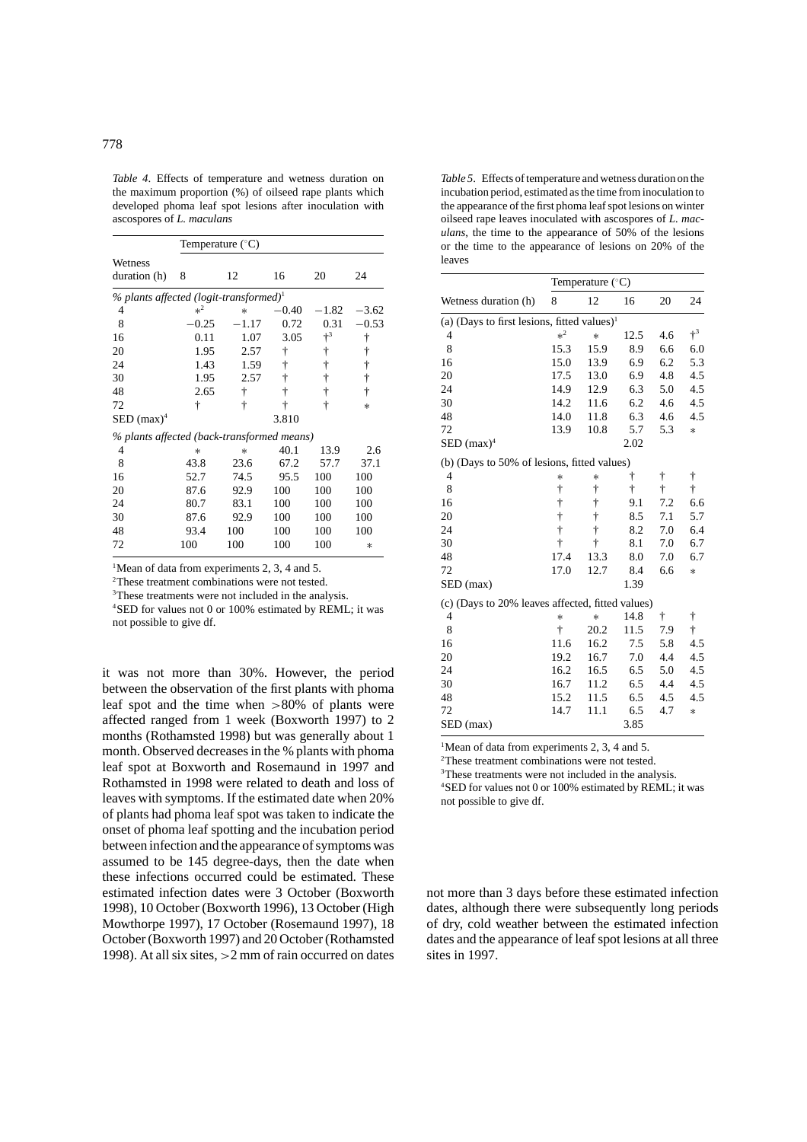*Table 4*. Effects of temperature and wetness duration on the maximum proportion (%) of oilseed rape plants which developed phoma leaf spot lesions after inoculation with ascospores of *L. maculans*

| Temperature $(^{\circ}C)$                          |          |         |         |         |         |
|----------------------------------------------------|----------|---------|---------|---------|---------|
| Wetness                                            |          |         |         |         |         |
| duration (h)                                       | 8        | 12      | 16      | 20      | 24      |
| % plants affected (logit-transformed) <sup>1</sup> |          |         |         |         |         |
| 4                                                  | $*^2$    | $\ast$  | $-0.40$ | $-1.82$ | $-3.62$ |
| 8                                                  | 0.25     | $-1.17$ | 0.72    | 0.31    | $-0.53$ |
| 16                                                 | 0.11     | 1.07    | 3.05    | $+3$    | t       |
| 20                                                 | 1.95     | 2.57    | ŧ       | t       | t       |
| 24                                                 | 1.43     | 1.59    | ŧ       | ŧ       | ŧ       |
| 30                                                 | 1.95     | 2.57    | ŧ       | ŧ       | ÷       |
| 48                                                 | 2.65     | t       | ÷       | ŧ       | ÷       |
| 72                                                 | ÷        | ÷       | ÷       | ÷       | $\ast$  |
| $\text{SED}$ (max) <sup>4</sup>                    |          |         | 3.810   |         |         |
| % plants affected (back-transformed means)         |          |         |         |         |         |
| 4                                                  | $^\star$ | $\ast$  | 40.1    | 13.9    | 2.6     |
| 8                                                  | 43.8     | 23.6    | 67.2    | 57.7    | 37.1    |
| 16                                                 | 52.7     | 74.5    | 95.5    | 100     | 100     |
| 20                                                 | 87.6     | 92.9    | 100     | 100     | 100     |
| 24                                                 | 80.7     | 83.1    | 100     | 100     | 100     |
| 30                                                 | 87.6     | 92.9    | 100     | 100     | 100     |
| 48                                                 | 93.4     | 100     | 100     | 100     | 100     |
| 72                                                 | 100      | 100     | 100     | 100     | *       |

<sup>1</sup>Mean of data from experiments 2, 3, 4 and 5.

2 These treatment combinations were not tested.

<sup>3</sup>These treatments were not included in the analysis.

4 SED for values not 0 or 100% estimated by REML; it was not possible to give df.

it was not more than 30%. However, the period between the observation of the first plants with phoma leaf spot and the time when  $>80\%$  of plants were affected ranged from 1 week (Boxworth 1997) to 2 months (Rothamsted 1998) but was generally about 1 month. Observed decreases in the % plants with phoma leaf spot at Boxworth and Rosemaund in 1997 and Rothamsted in 1998 were related to death and loss of leaves with symptoms. If the estimated date when 20% of plants had phoma leaf spot was taken to indicate the onset of phoma leaf spotting and the incubation period between infection and the appearance of symptoms was assumed to be 145 degree-days, then the date when these infections occurred could be estimated. These estimated infection dates were 3 October (Boxworth 1998), 10 October (Boxworth 1996), 13 October (High Mowthorpe 1997), 17 October (Rosemaund 1997), 18 October (Boxworth 1997) and 20 October (Rothamsted 1998). At all six sites, >2 mm of rain occurred on dates

*Table 5*. Effects of temperature and wetness duration on the incubation period, estimated as the time from inoculation to the appearance of the first phoma leaf spot lesions on winter oilseed rape leaves inoculated with ascospores of *L. maculans*, the time to the appearance of 50% of the lesions or the time to the appearance of lesions on 20% of the leaves

|                                                         | Temperature $(^{\circ}C)$ |      |      |         |        |  |
|---------------------------------------------------------|---------------------------|------|------|---------|--------|--|
| Wetness duration (h)                                    | 8                         | 12   | 16   | 20      | 24     |  |
| (a) (Days to first lesions, fitted values) <sup>1</sup> |                           |      |      |         |        |  |
| 4                                                       | $*^2$                     | *    | 12.5 | 4.6     | $+^3$  |  |
| 8                                                       | 15.3                      | 15.9 | 8.9  | 6.6     | 6.0    |  |
| 16                                                      | 15.0                      | 13.9 | 6.9  | 6.2     | 5.3    |  |
| 20                                                      | 17.5                      | 13.0 | 6.9  | 4.8     | 4.5    |  |
| 24                                                      | 14.9                      | 12.9 | 6.3  | 5.0     | 4.5    |  |
| 30                                                      | 14.2                      | 11.6 | 6.2  | 4.6     | 4.5    |  |
| 48                                                      | 14.0                      | 11.8 | 6.3  | 4.6     | 4.5    |  |
| 72                                                      | 13.9                      | 10.8 | 5.7  | 5.3     | $\ast$ |  |
| $\text{SED}$ (max) <sup>4</sup>                         |                           |      | 2.02 |         |        |  |
| (b) (Days to 50% of lesions, fitted values)             |                           |      |      |         |        |  |
| $\overline{4}$                                          | *                         | *    | t    | ŧ       | ŧ      |  |
| 8                                                       | ŧ                         | t    | ŧ    | ŧ       | ŧ      |  |
| 16                                                      | t                         | ŧ    | 9.1  | 7.2     | 6.6    |  |
| 20                                                      | $\dagger$                 | ŧ    | 8.5  | 7.1     | 5.7    |  |
| 24                                                      | $\frac{1}{1}$             | Ť    | 8.2  | 7.0     | 6.4    |  |
| 30                                                      | $\dagger$                 | ŧ    | 8.1  | 7.0     | 6.7    |  |
| 48                                                      | 17.4                      | 13.3 | 8.0  | 7.0     | 6.7    |  |
| 72                                                      | 17.0                      | 12.7 | 8.4  | 6.6     | $\ast$ |  |
| SED (max)                                               |                           |      | 1.39 |         |        |  |
| (c) (Days to 20% leaves affected, fitted values)        |                           |      |      |         |        |  |
| 4                                                       | $\ast$                    | *    | 14.8 | ŧ       | ŧ      |  |
| 8                                                       | $\ddagger$                | 20.2 | 11.5 | 7.9     | ŧ      |  |
| 16                                                      | 11.6                      | 16.2 | 7.5  | 5.8     | 4.5    |  |
| 20                                                      | 19.2                      | 16.7 | 7.0  | 4.4     | 4.5    |  |
| 24                                                      | 16.2                      | 16.5 | 6.5  | 5.0     | 4.5    |  |
| 30                                                      | 16.7                      | 11.2 | 6.5  | $4.4\,$ | 4.5    |  |
| 48                                                      | 15.2                      | 11.5 | 6.5  | 4.5     | 4.5    |  |
| 72                                                      | 14.7                      | 11.1 | 6.5  | 4.7     | $\ast$ |  |
| SED (max)                                               |                           |      | 3.85 |         |        |  |

<sup>1</sup>Mean of data from experiments 2, 3, 4 and 5.

2 These treatment combinations were not tested.

<sup>3</sup>These treatments were not included in the analysis. 4 SED for values not 0 or 100% estimated by REML; it was

not possible to give df.

not more than 3 days before these estimated infection dates, although there were subsequently long periods of dry, cold weather between the estimated infection dates and the appearance of leaf spot lesions at all three sites in 1997.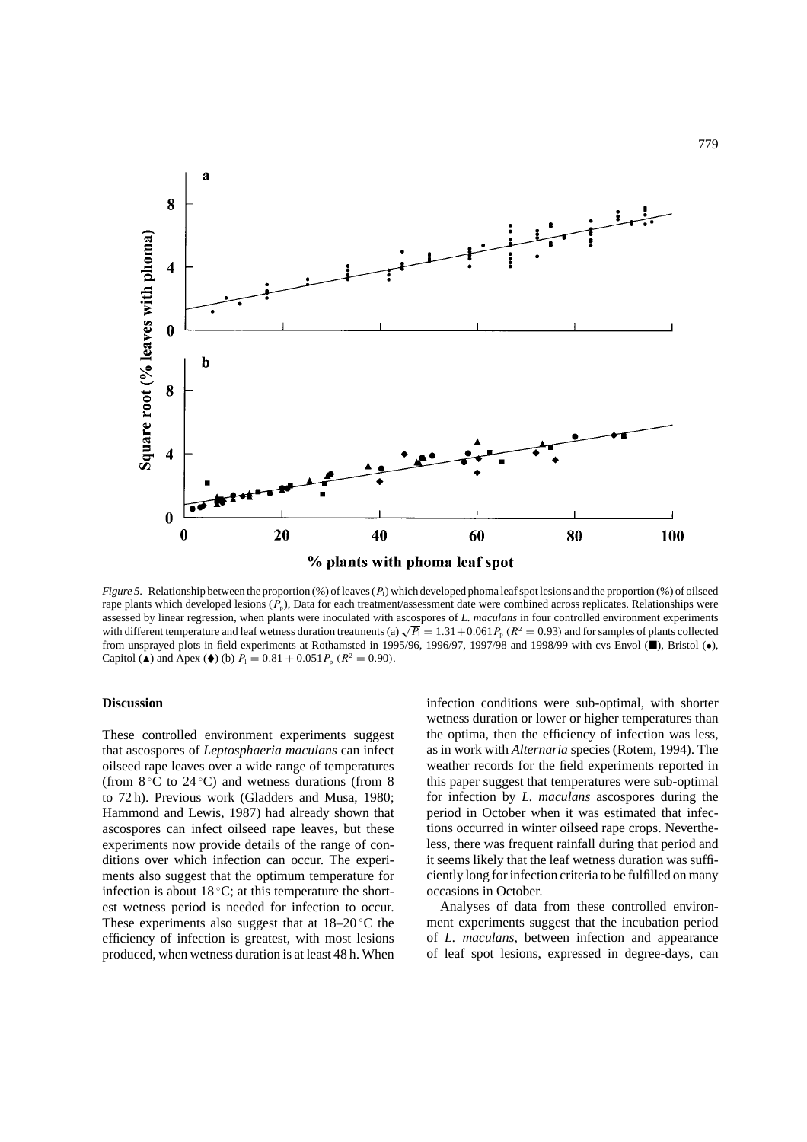

*Figure 5*. Relationship between the proportion (%) of leaves (*P*<sub>1</sub>) which developed phoma leaf spot lesions and the proportion (%) of oilseed rape plants which developed lesions  $(P_p)$ , Data for each treatment/assessment date were combined across replicates. Relationships were assessed by linear regression, when plants were inoculated with ascospores of *L. maculans* in four controlled environment experiments with different temperature and leaf wetness duration treatments (a)  $\sqrt{P_1} = 1.31 + 0.061 P_p$  ( $R^2 = 0.93$ ) and for samples of plants collected from unsprayed plots in field experiments at Rothamsted in 1995/96, 1996/97, 1997/98 and 1998/99 with cvs Envol ( $\blacksquare$ ), Bristol ( $\bullet$ ), Capitol ( $\triangle$ ) and Apex ( $\blacklozenge$ ) (b)  $P_1 = 0.81 + 0.051 P_p$  ( $R^2 = 0.90$ ).

# **Discussion**

These controlled environment experiments suggest that ascospores of *Leptosphaeria maculans* can infect oilseed rape leaves over a wide range of temperatures (from  $8^{\circ}$ C to  $24^{\circ}$ C) and wetness durations (from 8 to 72 h). Previous work (Gladders and Musa, 1980; Hammond and Lewis, 1987) had already shown that ascospores can infect oilseed rape leaves, but these experiments now provide details of the range of conditions over which infection can occur. The experiments also suggest that the optimum temperature for infection is about  $18 °C$ ; at this temperature the shortest wetness period is needed for infection to occur. These experiments also suggest that at  $18-20$  °C the efficiency of infection is greatest, with most lesions produced, when wetness duration is at least 48 h. When infection conditions were sub-optimal, with shorter wetness duration or lower or higher temperatures than the optima, then the efficiency of infection was less, as in work with *Alternaria* species (Rotem, 1994). The weather records for the field experiments reported in this paper suggest that temperatures were sub-optimal for infection by *L. maculans* ascospores during the period in October when it was estimated that infections occurred in winter oilseed rape crops. Nevertheless, there was frequent rainfall during that period and it seems likely that the leaf wetness duration was sufficiently long for infection criteria to be fulfilled on many occasions in October.

Analyses of data from these controlled environment experiments suggest that the incubation period of *L. maculans*, between infection and appearance of leaf spot lesions, expressed in degree-days, can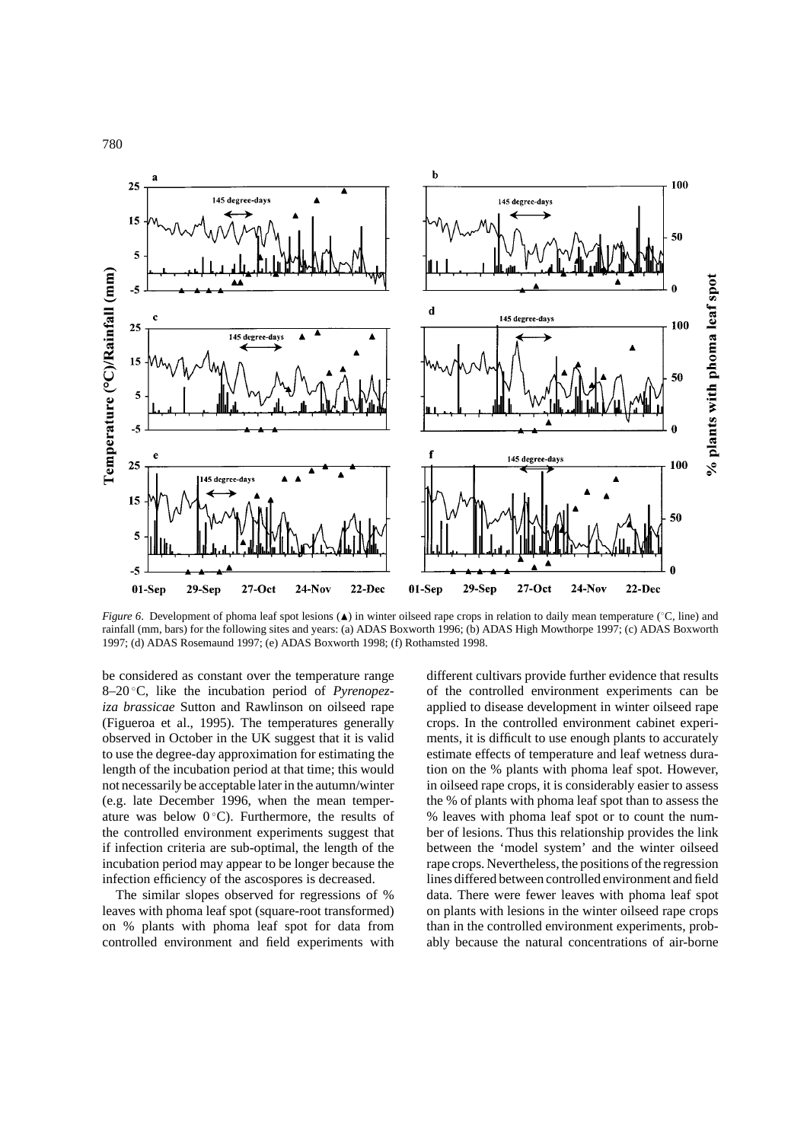780



*Figure 6*. Development of phoma leaf spot lesions (▲) in winter oilseed rape crops in relation to daily mean temperature (°C, line) and rainfall (mm, bars) for the following sites and years: (a) ADAS Boxworth 1996; (b) ADAS High Mowthorpe 1997; (c) ADAS Boxworth 1997; (d) ADAS Rosemaund 1997; (e) ADAS Boxworth 1998; (f) Rothamsted 1998.

be considered as constant over the temperature range 8–20 ◦ C, like the incubation period of *Pyrenopeziza brassicae* Sutton and Rawlinson on oilseed rape (Figueroa et al., 1995). The temperatures generally observed in October in the UK suggest that it is valid to use the degree-day approximation for estimating the length of the incubation period at that time; this would not necessarily be acceptable later in the autumn/winter (e.g. late December 1996, when the mean temperature was below  $0^{\circ}$ C). Furthermore, the results of the controlled environment experiments suggest that if infection criteria are sub-optimal, the length of the incubation period may appear to be longer because the infection efficiency of the ascospores is decreased.

The similar slopes observed for regressions of % leaves with phoma leaf spot (square-root transformed) on % plants with phoma leaf spot for data from controlled environment and field experiments with

different cultivars provide further evidence that results of the controlled environment experiments can be applied to disease development in winter oilseed rape crops. In the controlled environment cabinet experiments, it is difficult to use enough plants to accurately estimate effects of temperature and leaf wetness duration on the % plants with phoma leaf spot. However, in oilseed rape crops, it is considerably easier to assess the % of plants with phoma leaf spot than to assess the % leaves with phoma leaf spot or to count the number of lesions. Thus this relationship provides the link between the 'model system' and the winter oilseed rape crops. Nevertheless, the positions of the regression lines differed between controlled environment and field data. There were fewer leaves with phoma leaf spot on plants with lesions in the winter oilseed rape crops than in the controlled environment experiments, probably because the natural concentrations of air-borne